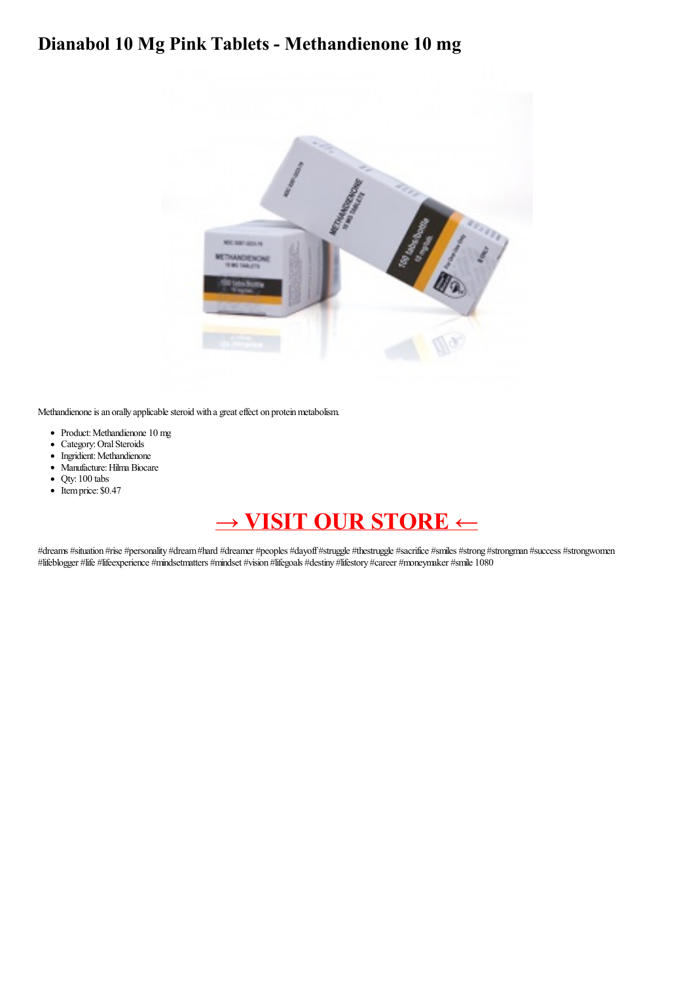## **Dianabol 10 Mg Pink Tablets - Methandienone 10 mg**



Methandienone is an orally applicable steroid with a great effect on protein metabolism.

- Product:Methandienone 10 mg
- Category: Oral Steroids
- Ingridient: Methandienone
- Manufacture: Hilma Biocare
- Qty: 100 tabs
- Itemprice: \$0.47

## **→ VISIT OUR [STORE](https://t.co/iWZb667vrl) ←**

#dreams #situation #rise #personality #dream #hard #dreamer #peoples #dayoff #struggle #thestruggle #sacrifice #smiles #strong #strongman #success #strongwomen #lifeblogger #life #lifeexperience #mindsetmatters #mindset #vision #lifegoals #destiny #lifestory #career #moneymaker #smile 1080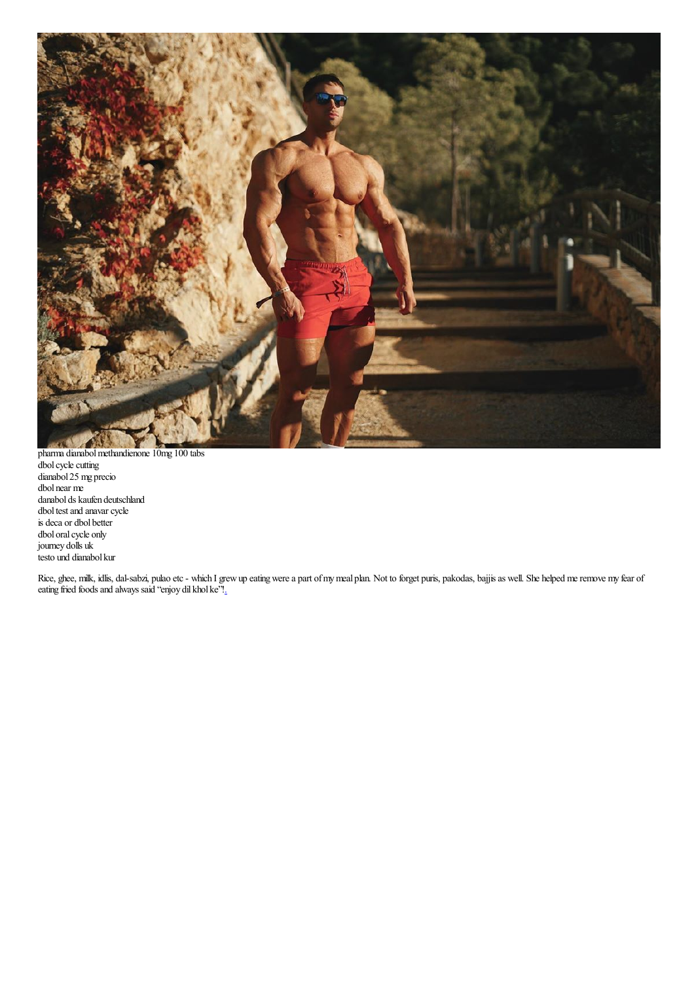

pharma dianabolmethandienone 10mg 100 tabs dbol cycle cutting dianabol 25 mg precio dbol near me danabol ds kaufen deutschland dbol test and anavar cycle is deca or dbol better dbol oral cycle only journey dolls uk testo und dianabol kur

Rice, ghee, milk, idlis, dal-sabzi, pulao etc - which I grew up eating were a part of my meal plan. Not to forget puris, pakodas, bajjis as well. She helped me remove my fear of eating fried foods and always said "enjoy dil khol ke"[!.](https://write.as/wqk2refvlcs7g230.md)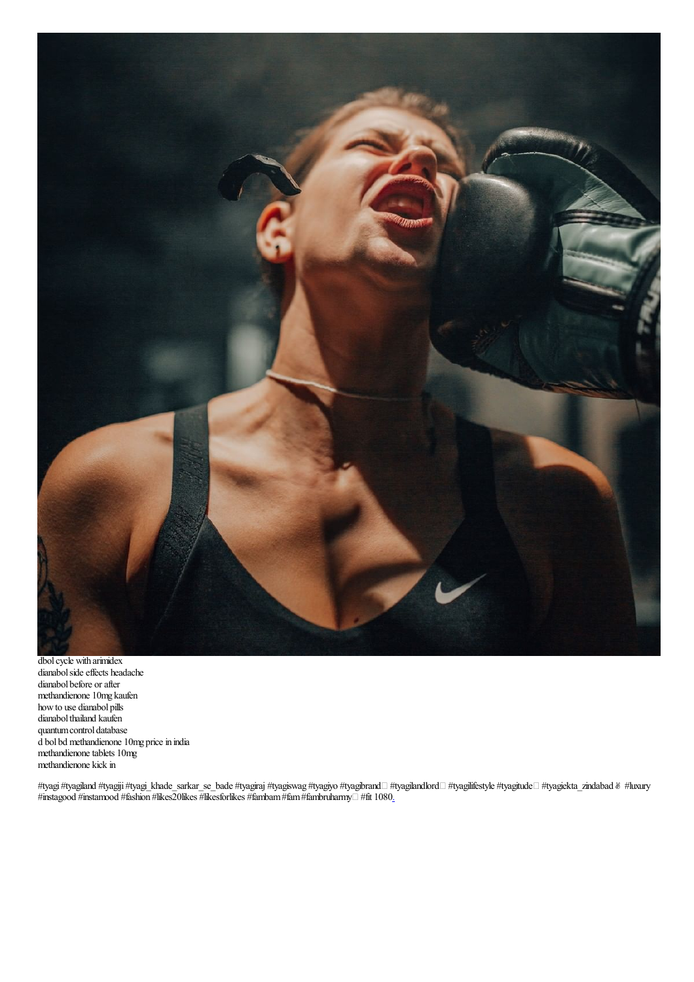

dbol cycle with arimidex dianabolsideeffects headache dianabol before or after methandienone 10mg kaufen howto use dianabol pills dianabol thailand kaufen quantum control database d bol bd methandienone 10mg pricein india methandienone tablets 10mg methandienone kick in

#tyagi #tyagiland #tyagiji #tyagi\_khade\_sarkar\_se\_bade #tyagiraj #tyagiswag #tyagiyo #tyagilandlord□ #tyagitlfestyle #tyagitude□ #tyagiekta\_zindabad & #luxury  $\#$ instagood  $\#$ instamood  $\#$ fashion  $\#$ likes $20$ likes  $\#$ likesforlikes  $\#$ fambam $\#$ fam $\#$ fambruharmy $\Box$   $\#$ fit 1080<u>.</u>